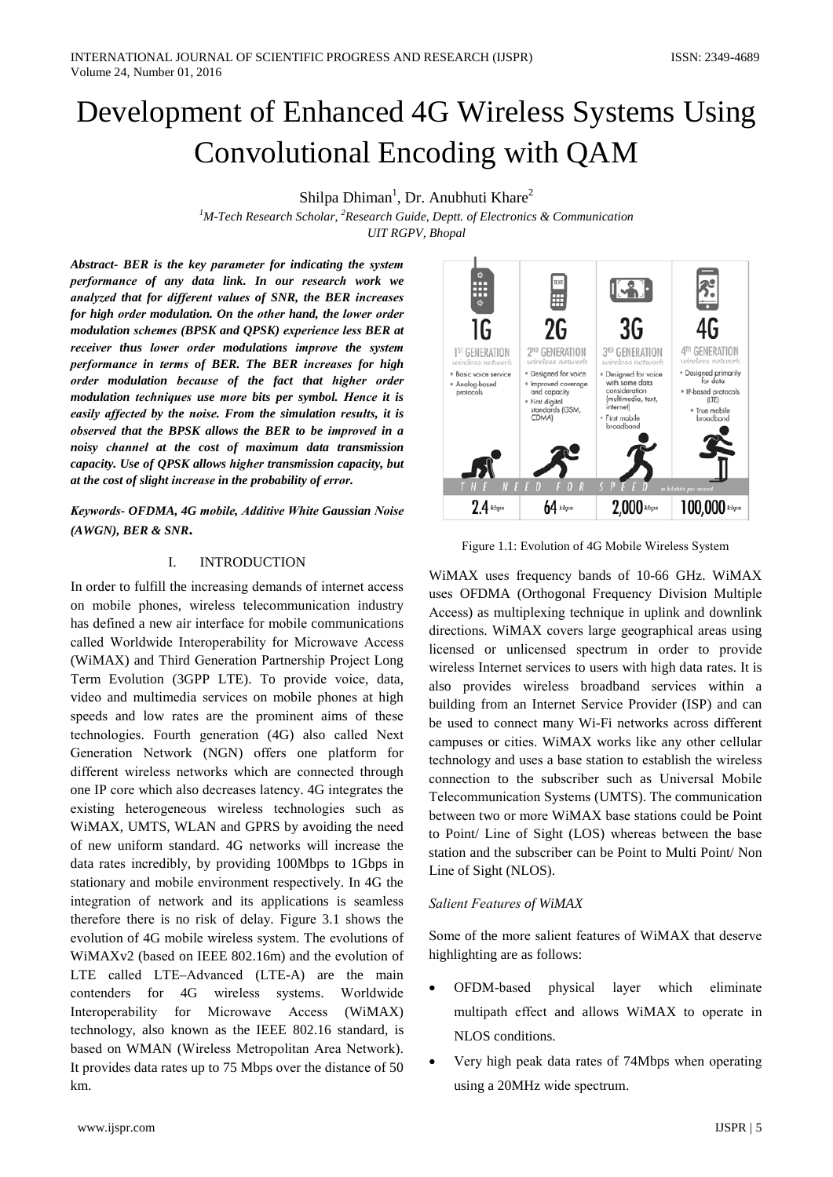Shilpa Dhiman<sup>1</sup>, Dr. Anubhuti Khare<sup>2</sup>

<sup>1</sup>M-Tech Research Scholar, <sup>2</sup>Research Guide, Deptt. of Electronics & Communication **UIT RGPV**, **Bhopal** 

Abstract- BER is the key parameter for indicating the system performance of any data link. In our research work we analyzed that for different values of SNR, the BER increases for high order modulation. On the other hand, the lower order modulation schemes (BPSK and QPSK) experience less BER at receiver thus lower order modulations improve the system performance in terms of BER. The BER increases for high order modulation because of the fact that higher order modulation techniques use more bits per symbol. Hence it is easily affected by the noise. From the simulation results, it is observed that the BPSK allows the BER to be improved in a noisy channel at the cost of maximum data transmission capacity. Use of QPSK allows higher transmission capacity, but at the cost of slight increase in the probability of error.

Keywords- OFDMA, 4G mobile, Additive White Gaussian Noise  $(AWGN), BER & SNR.$ 

#### **INTRODUCTION**  $\mathbf{I}$

In order to fulfill the increasing demands of internet access on mobile phones, wireless telecommunication industry has defined a new air interface for mobile communications called Worldwide Interoperability for Microwave Access (WiMAX) and Third Generation Partnership Project Long Term Evolution (3GPP LTE). To provide voice, data, video and multimedia services on mobile phones at high speeds and low rates are the prominent aims of these technologies. Fourth generation (4G) also called Next Generation Network (NGN) offers one platform for different wireless networks which are connected through one IP core which also decreases latency. 4G integrates the existing heterogeneous wireless technologies such as WIMAX, UMTS, WLAN and GPRS by avoiding the need of new uniform standard. 4G networks will increase the data rates incredibly, by providing 100Mbps to 1Gbps in stationary and mobile environment respectively. In 4G the integration of network and its applications is seamless therefore there is no risk of delay. Figure 3.1 shows the evolution of 4G mobile wireless system. The evolutions of WiMAXv2 (based on IEEE 802.16m) and the evolution of LTE called LTE-Advanced (LTE-A) are the main contenders for 4G wireless systems. Worldwide Interoperability Microwave for Access (WiMAX) technology, also known as the IEEE 802.16 standard, is based on WMAN (Wireless Metropolitan Area Network). It provides data rates up to 75 Mbps over the distance of 50 km.



Figure 1.1: Evolution of 4G Mobile Wireless System

WiMAX uses frequency bands of 10-66 GHz. WiMAX uses OFDMA (Orthogonal Frequency Division Multiple Access) as multiplexing technique in uplink and downlink directions. WiMAX covers large geographical areas using licensed or unlicensed spectrum in order to provide wireless Internet services to users with high data rates. It is also provides wireless broadband services within a building from an Internet Service Provider (ISP) and can be used to connect many Wi-Fi networks across different campuses or cities. WiMAX works like any other cellular technology and uses a base station to establish the wireless connection to the subscriber such as Universal Mobile Telecommunication Systems (UMTS). The communication between two or more WiMAX base stations could be Point to Point/ Line of Sight (LOS) whereas between the base station and the subscriber can be Point to Multi Point/ Non Line of Sight (NLOS).

# **Salient Features of WiMAX**

Some of the more salient features of WiMAX that deserve highlighting are as follows:

- OFDM-based physical laver which eliminate multipath effect and allows WiMAX to operate in NLOS conditions.
- Very high peak data rates of 74Mbps when operating using a 20MHz wide spectrum.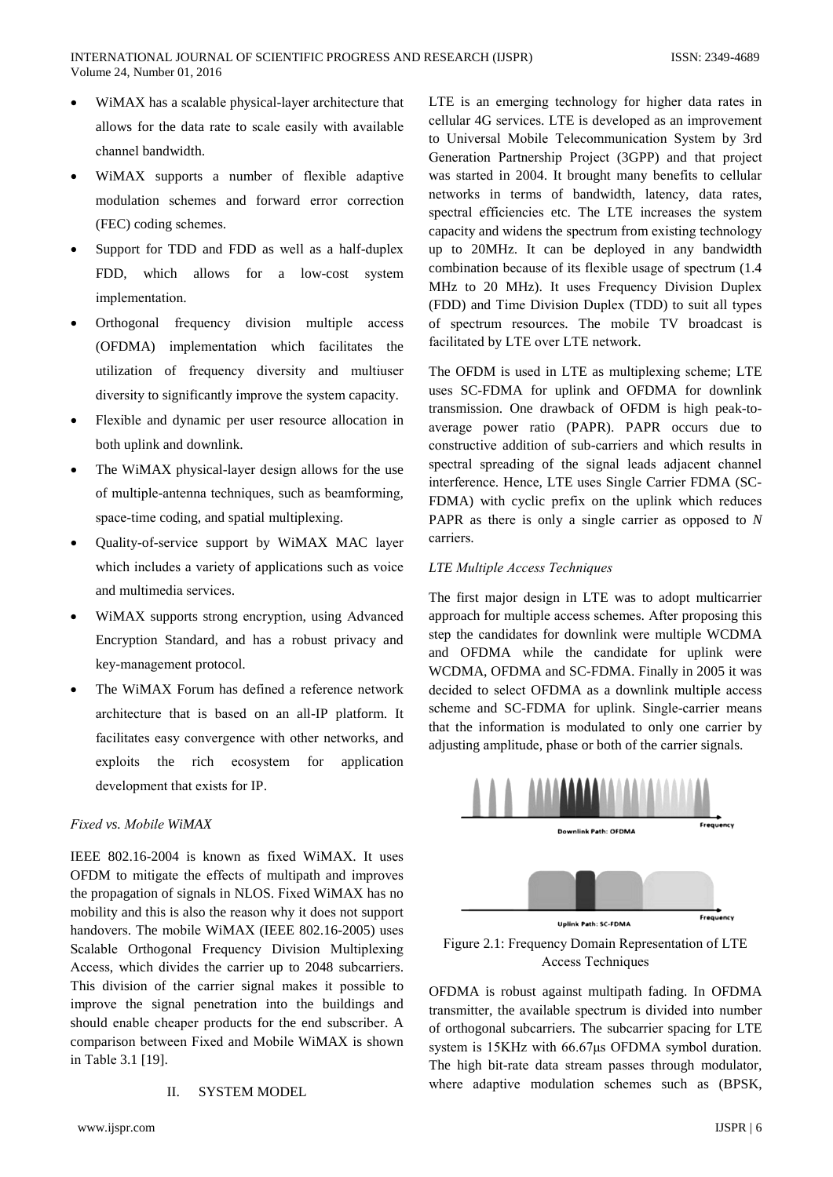- WiMAX has a scalable physical-layer architecture that allows for the data rate to scale easily with available channel bandwidth.
- WiMAX supports a number of flexible adaptive modulation schemes and forward error correction (FEC) coding schemes.
- Support for TDD and FDD as well as a half-duplex FDD, which allows for a low-cost system implementation.
- Orthogonal frequency division multiple access (OFDMA) implementation which facilitates the utilization of frequency diversity and multiuser diversity to significantly improve the system capacity.
- Flexible and dynamic per user resource allocation in both uplink and downlink.
- The WiMAX physical-layer design allows for the use of multiple-antenna techniques, such as beamforming, space-time coding, and spatial multiplexing.
- Quality-of-service support by WiMAX MAC layer which includes a variety of applications such as voice and multimedia services.
- WiMAX supports strong encryption, using Advanced Encryption Standard, and has a robust privacy and key-management protocol.
- The WiMAX Forum has defined a reference network architecture that is based on an all-IP platform. It facilitates easy convergence with other networks, and exploits the rich ecosystem for application development that exists for IP.

# Fixed vs. Mobile WiMAX

IEEE 802.16-2004 is known as fixed WiMAX. It uses OFDM to mitigate the effects of multipath and improves the propagation of signals in NLOS. Fixed WiMAX has no mobility and this is also the reason why it does not support handovers. The mobile WiMAX (IEEE 802.16-2005) uses Scalable Orthogonal Frequency Division Multiplexing Access, which divides the carrier up to 2048 subcarriers. This division of the carrier signal makes it possible to improve the signal penetration into the buildings and should enable cheaper products for the end subscriber. A comparison between Fixed and Mobile WiMAX is shown in Table 3.1 [19].

#### **SYSTEM MODEL**  $\Pi$

LTE is an emerging technology for higher data rates in cellular 4G services. LTE is developed as an improvement to Universal Mobile Telecommunication System by 3rd Generation Partnership Project (3GPP) and that project was started in 2004. It brought many benefits to cellular networks in terms of bandwidth, latency, data rates, spectral efficiencies etc. The LTE increases the system capacity and widens the spectrum from existing technology up to 20MHz. It can be deployed in any bandwidth combination because of its flexible usage of spectrum (1.4) MHz to 20 MHz). It uses Frequency Division Duplex (FDD) and Time Division Duplex (TDD) to suit all types of spectrum resources. The mobile TV broadcast is facilitated by LTE over LTE network.

The OFDM is used in LTE as multiplexing scheme; LTE uses SC-FDMA for uplink and OFDMA for downlink transmission. One drawback of OFDM is high peak-toaverage power ratio (PAPR). PAPR occurs due to constructive addition of sub-carriers and which results in spectral spreading of the signal leads adjacent channel interference. Hence, LTE uses Single Carrier FDMA (SC-FDMA) with cyclic prefix on the uplink which reduces PAPR as there is only a single carrier as opposed to  $N$ carriers.

## LTE Multiple Access Techniques

The first major design in LTE was to adopt multicarrier approach for multiple access schemes. After proposing this step the candidates for downlink were multiple WCDMA and OFDMA while the candidate for uplink were WCDMA, OFDMA and SC-FDMA. Finally in 2005 it was decided to select OFDMA as a downlink multiple access scheme and SC-FDMA for uplink. Single-carrier means that the information is modulated to only one carrier by adjusting amplitude, phase or both of the carrier signals.



Figure 2.1: Frequency Domain Representation of LTE **Access Techniques** 

OFDMA is robust against multipath fading. In OFDMA transmitter, the available spectrum is divided into number of orthogonal subcarriers. The subcarrier spacing for LTE system is 15KHz with 66.67µs OFDMA symbol duration. The high bit-rate data stream passes through modulator, where adaptive modulation schemes such as (BPSK,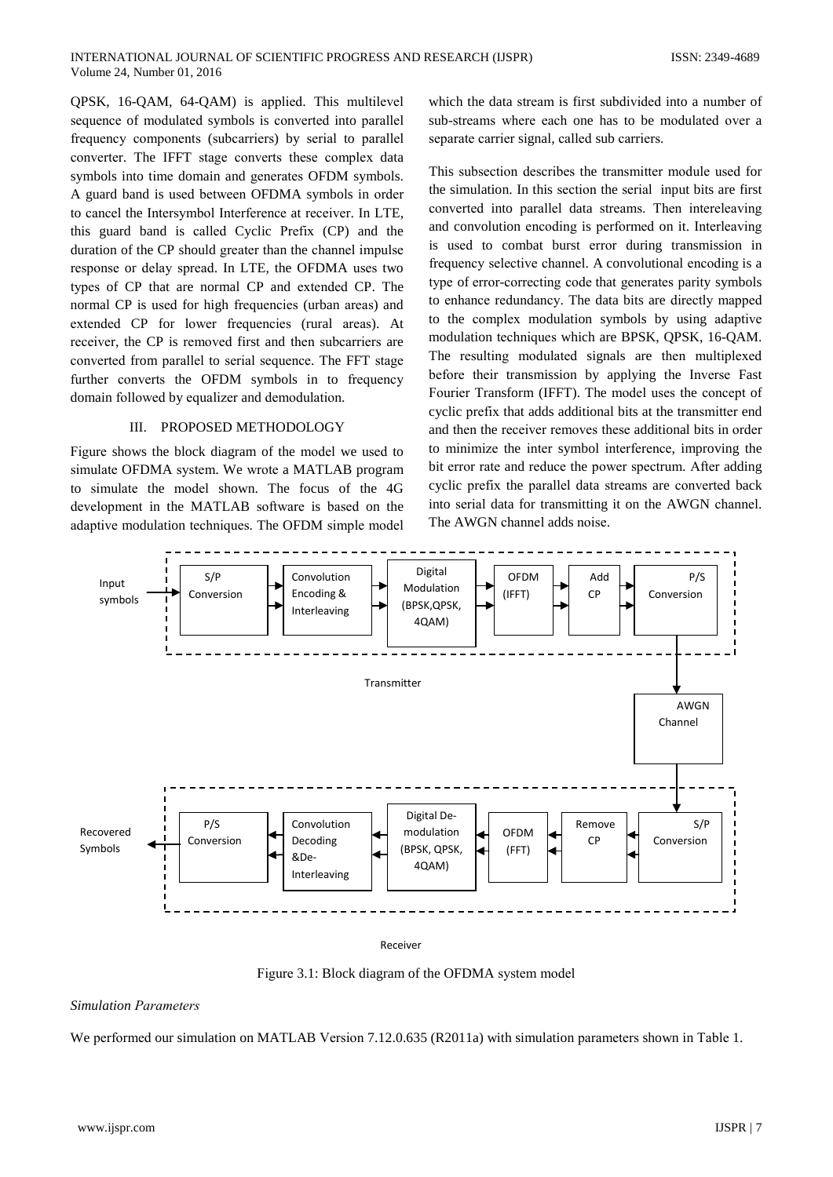QPSK, 16-QAM, 64-QAM) is applied. This multilevel sequence of modulated symbols is converted into parallel frequency components (subcarriers) by serial to parallel converter. The IFFT stage converts these complex data symbols into time domain and generates OFDM symbols. A guard band is used between OFDMA symbols in order to cancel the Intersymbol Interference at receiver. In LTE, this guard band is called Cyclic Prefix (CP) and the duration of the CP should greater than the channel impulse response or delay spread. In LTE, the OFDMA uses two types of CP that are normal CP and extended CP. The normal CP is used for high frequencies (urban areas) and extended CP for lower frequencies (rural areas). At receiver, the CP is removed first and then subcarriers are converted from parallel to serial sequence. The FFT stage further converts the OFDM symbols in to frequency domain followed by equalizer and demodulation.

## III. PROPOSED METHODOLOGY

Figure shows the block diagram of the model we used to simulate OFDMA system. We wrote a MATLAB program to simulate the model shown. The focus of the 4G development in the MATLAB software is based on the adaptive modulation techniques. The OFDM simple model

which the data stream is first subdivided into a number of sub-streams where each one has to be modulated over a separate carrier signal, called sub carriers.

This subsection describes the transmitter module used for the simulation. In this section the serial input bits are first converted into parallel data streams. Then intereleaving and convolution encoding is performed on it. Interleaving is used to combat burst error during transmission in frequency selective channel. A convolutional encoding is a type of error-correcting code that generates parity symbols to enhance redundancy. The data bits are directly mapped to the complex modulation symbols by using adaptive modulation techniques which are BPSK, QPSK, 16-QAM. The resulting modulated signals are then multiplexed before their transmission by applying the Inverse Fast Fourier Transform (IFFT). The model uses the concept of cyclic prefix that adds additional bits at the transmitter end and then the receiver removes these additional bits in order to minimize the inter symbol interference, improving the bit error rate and reduce the power spectrum. After adding cyclic prefix the parallel data streams are converted back into serial data for transmitting it on the AWGN channel. The AWGN channel adds noise.



Receiver

Figure 3.1: Block diagram of the OFDMA system model

## **Simulation Parameters**

We performed our simulation on MATLAB Version 7.12.0.635 (R2011a) with simulation parameters shown in Table 1.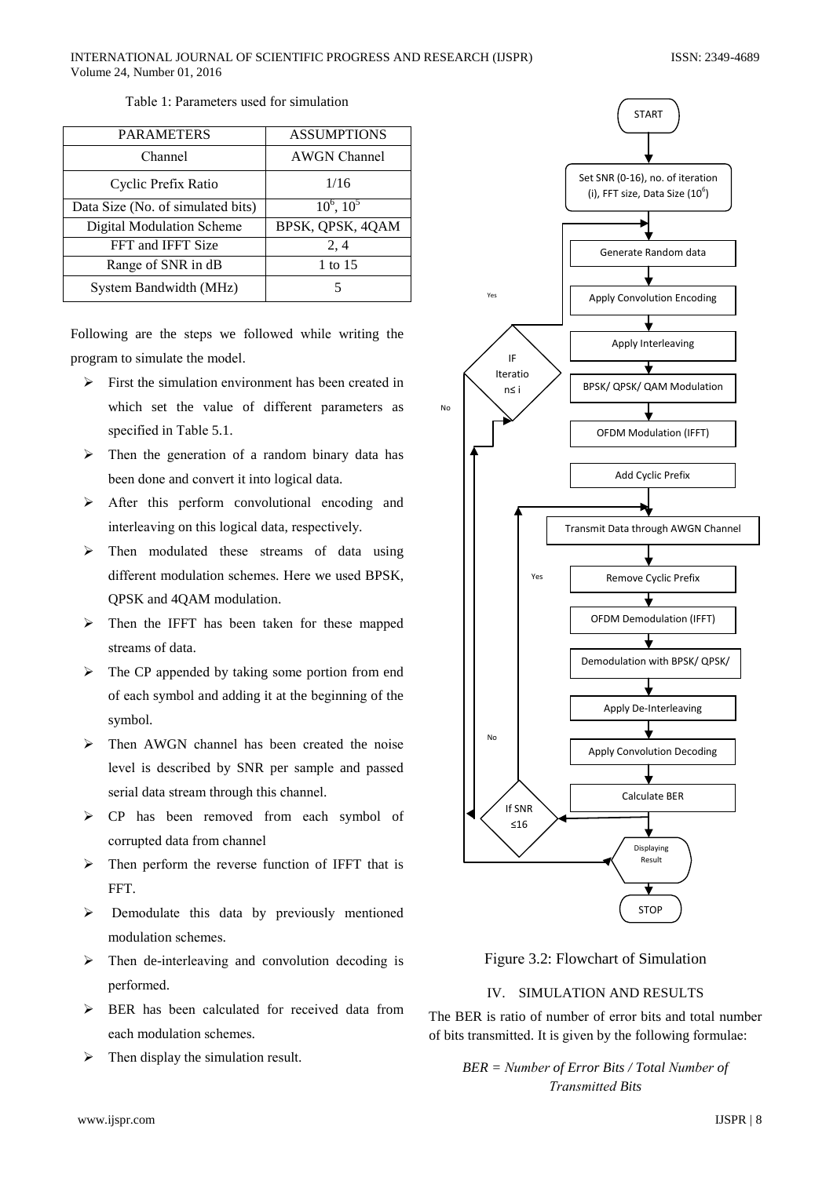| <b>PARAMETERS</b>                 | <b>ASSUMPTIONS</b>  |
|-----------------------------------|---------------------|
| Channel                           | <b>AWGN</b> Channel |
| Cyclic Prefix Ratio               | 1/16                |
| Data Size (No. of simulated bits) | $10^6$ , $10^5$     |
| <b>Digital Modulation Scheme</b>  | BPSK, QPSK, 4QAM    |
| FFT and IFFT Size                 | 2, 4                |
| Range of SNR in dB                | 1 to 15             |
| System Bandwidth (MHz)            | 5                   |

Table 1: Parameters used for simulation

Following are the steps we followed while writing the program to simulate the model.

- $\triangleright$  First the simulation environment has been created in which set the value of different parameters as specified in Table 5.1.
- $\triangleright$  Then the generation of a random binary data has been done and convert it into logical data.
- $\triangleright$  After this perform convolutional encoding and interleaving on this logical data, respectively.
- $\triangleright$  Then modulated these streams of data using different modulation schemes. Here we used BPSK, QPSK and 4QAM modulation.
- $\triangleright$  Then the IFFT has been taken for these mapped streams of data.
- $\triangleright$  The CP appended by taking some portion from end of each symbol and adding it at the beginning of the symbol.
- $\triangleright$  Then AWGN channel has been created the noise level is described by SNR per sample and passed serial data stream through this channel.
- > CP has been removed from each symbol of corrupted data from channel
- $\triangleright$  Then perform the reverse function of IFFT that is FFT.
- Demodulate this data by previously mentioned  $\blacktriangleright$ modulation schemes.
- $\triangleright$  Then de-interleaving and convolution decoding is performed.
- $\triangleright$  BER has been calculated for received data from each modulation schemes.
- $\blacktriangleright$ Then display the simulation result.



Figure 3.2: Flowchart of Simulation

# IV. SIMULATION AND RESULTS

The BER is ratio of number of error bits and total number of bits transmitted. It is given by the following formulae:

 $BER = Number of Error Bits / Total Number of$ **Transmitted Bits**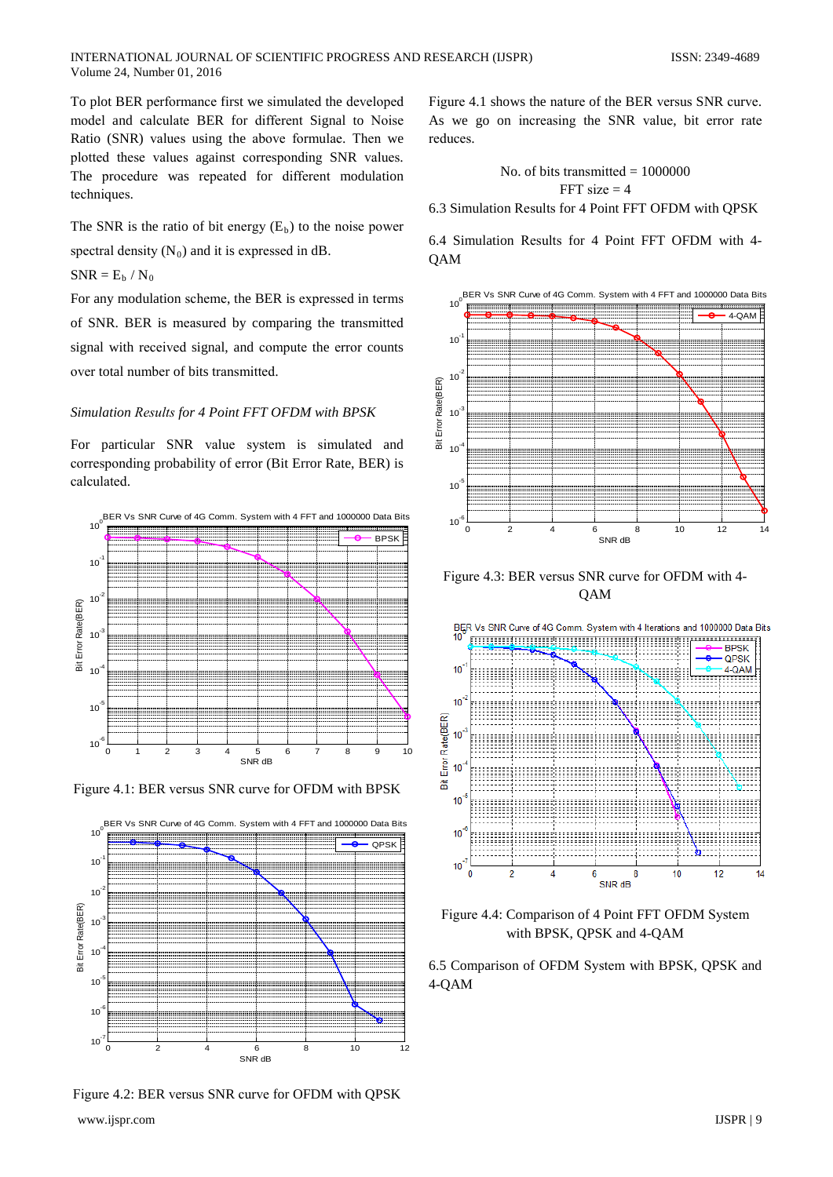To plot BER performance first we simulated the developed model and calculate BER for different Signal to Noise Ratio (SNR) values using the above formulae. Then we plotted these values against corresponding SNR values. The procedure was repeated for different modulation techniques.

The SNR is the ratio of bit energy  $(E_b)$  to the noise power spectral density  $(N_0)$  and it is expressed in dB.

 $SNR = E_b / N_0$ 

For any modulation scheme, the BER is expressed in terms of SNR. BER is measured by comparing the transmitted signal with received signal, and compute the error counts over total number of bits transmitted.

## Simulation Results for 4 Point FFT OFDM with BPSK

For particular SNR value system is simulated and corresponding probability of error (Bit Error Rate, BER) is calculated.



Figure 4.1: BER versus SNR curve for OFDM with BPSK



Figure 4.2: BER versus SNR curve for OFDM with QPSK

Figure 4.1 shows the nature of the BER versus SNR curve. As we go on increasing the SNR value, bit error rate reduces.

> No. of bits transmitted =  $1000000$ FFT size  $=$  4

6.3 Simulation Results for 4 Point FFT OFDM with OPSK

6.4 Simulation Results for 4 Point FFT OFDM with 4-**QAM** 



Figure 4.3: BER versus SNR curve for OFDM with 4-**QAM** 



Figure 4.4: Comparison of 4 Point FFT OFDM System with BPSK, QPSK and 4-QAM

6.5 Comparison of OFDM System with BPSK, QPSK and  $4-QAM$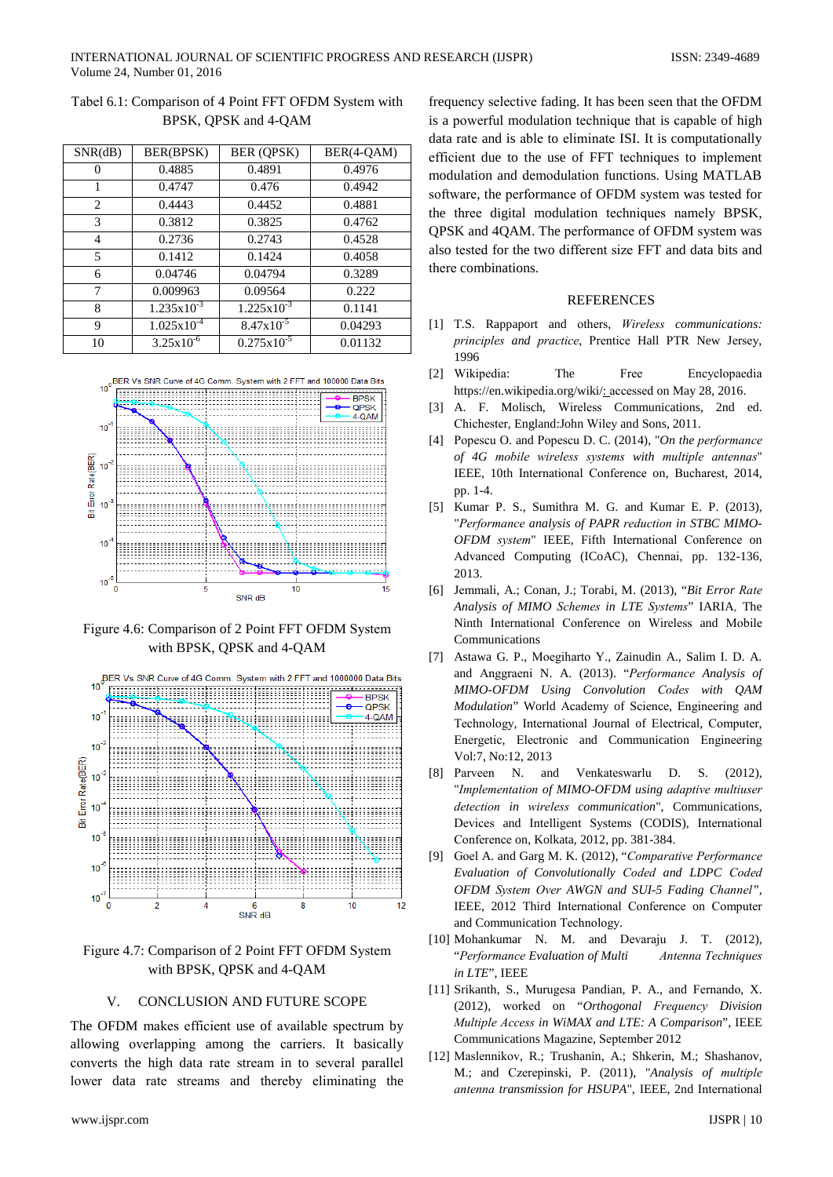| SNR(dB) | BER(BPSK)              | <b>BER (QPSK)</b>      | BER(4-QAM) |
|---------|------------------------|------------------------|------------|
|         | 0.4885                 | 0.4891                 | 0.4976     |
|         | 0.4747                 | 0.476                  | 0.4942     |
| 2       | 0.4443                 | 0.4452                 | 0.4881     |
| 3       | 0.3812                 | 0.3825                 | 0.4762     |
| 4       | 0.2736                 | 0.2743                 | 0.4528     |
| 5       | 0.1412                 | 0.1424                 | 0.4058     |
| 6       | 0.04746                | 0.04794                | 0.3289     |
| 7       | 0.009963               | 0.09564                | 0.222      |
| 8       | $1.235 \times 10^{-3}$ | $1.225 \times 10^{-3}$ | 0.1141     |
| 9       | $1.025 \times 10^{-4}$ | $8.47x10^{-5}$         | 0.04293    |
| 10      | $3.25 \times 10^{-6}$  | $0.275 \times 10^{-5}$ | 0.01132    |

Tabel 6.1: Comparison of 4 Point FFT OFDM System with BPSK, QPSK and 4-QAM



Figure 4.6: Comparison of 2 Point FFT OFDM System with BPSK, QPSK and 4-QAM



Figure 4.7: Comparison of 2 Point FFT OFDM System with BPSK, QPSK and 4-QAM

#### **CONCLUSION AND FUTURE SCOPE**  $\mathbf{V}$

The OFDM makes efficient use of available spectrum by allowing overlapping among the carriers. It basically converts the high data rate stream in to several parallel lower data rate streams and thereby eliminating the

frequency selective fading. It has been seen that the OFDM is a powerful modulation technique that is capable of high data rate and is able to eliminate ISI. It is computationally efficient due to the use of FFT techniques to implement modulation and demodulation functions. Using MATLAB software, the performance of OFDM system was tested for the three digital modulation techniques namely BPSK, OPSK and 4OAM. The performance of OFDM system was also tested for the two different size FFT and data bits and there combinations.

### **REFERENCES**

- [1] T.S. Rappaport and others, *Wireless communications:* principles and practice, Prentice Hall PTR New Jersey, 1996
- [2] Wikipedia: The Free Encyclopaedia https://en.wikipedia.org/wiki/: accessed on May 28, 2016.
- [3] A. F. Molisch. Wireless Communications. 2nd ed. Chichester, England: John Wiley and Sons, 2011.
- [4] Popescu O. and Popescu D. C. (2014), "On the performance of 4G mobile wireless systems with multiple antennas" IEEE, 10th International Conference on, Bucharest, 2014, pp. 1-4.
- [5] Kumar P. S., Sumithra M. G. and Kumar E. P. (2013), "Performance analysis of PAPR reduction in STBC MIMO-OFDM system" IEEE, Fifth International Conference on Advanced Computing (ICoAC), Chennai, pp. 132-136, 2013.
- [6] Jemmali, A.; Conan, J.; Torabi, M. (2013), "Bit Error Rate Analysis of MIMO Schemes in LTE Systems" IARIA, The Ninth International Conference on Wireless and Mobile Communications
- [7] Astawa G. P., Moegiharto Y., Zainudin A., Salim I. D. A. and Anggraeni N. A. (2013). "Performance Analysis of MIMO-OFDM Using Convolution Codes with QAM Modulation" World Academy of Science, Engineering and Technology, International Journal of Electrical, Computer, Energetic, Electronic and Communication Engineering Vol:7, No:12, 2013
- [8] Parveen N. Venkateswarlu D. S. (2012), and "Implementation of MIMO-OFDM using adaptive multiuser detection in wireless communication", Communications, Devices and Intelligent Systems (CODIS), International Conference on, Kolkata, 2012, pp. 381-384.
- [9] Goel A. and Garg M. K. (2012), "Comparative Performance Evaluation of Convolutionally Coded and LDPC Coded OFDM System Over AWGN and SUI-5 Fading Channel", IEEE, 2012 Third International Conference on Computer and Communication Technology.
- [10] Mohankumar N. M. and Devaraju J. T. (2012), "Performance Evaluation of Multi Antenna Techniques in LTE", IEEE
- [11] Srikanth, S., Murugesa Pandian, P. A., and Fernando, X. (2012), worked on "Orthogonal Frequency Division Multiple Access in WiMAX and LTE: A Comparison", IEEE Communications Magazine, September 2012
- [12] Maslennikov, R.; Trushanin, A.; Shkerin, M.; Shashanov, M.; and Czerepinski, P. (2011), "Analysis of multiple antenna transmission for HSUPA", IEEE, 2nd International